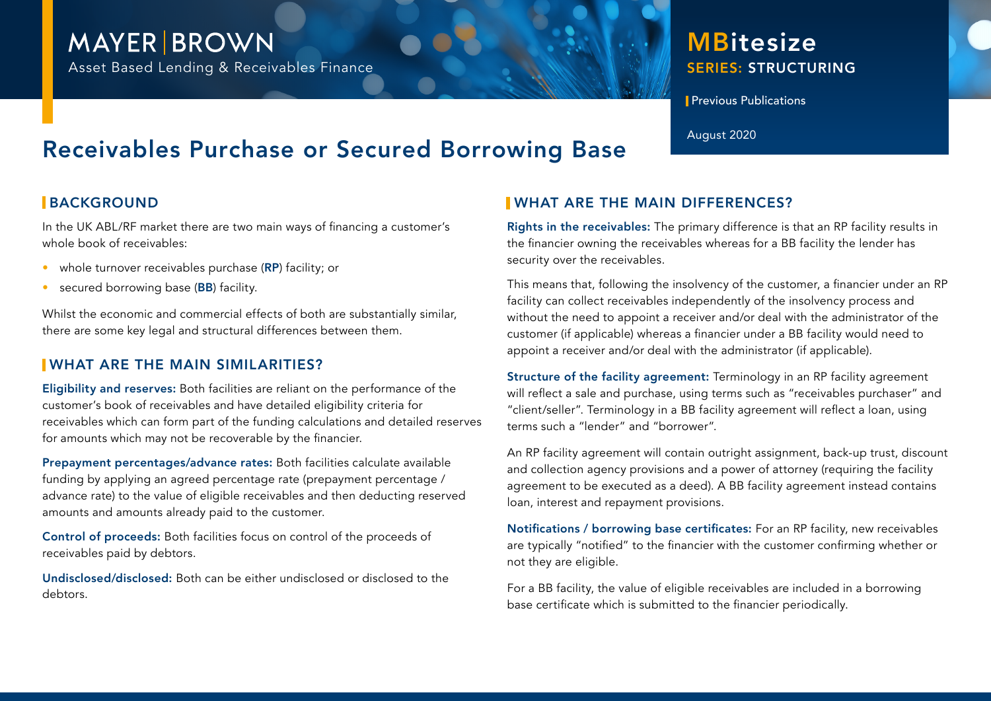## **MAYER BROWN**

Asset Based Lending & Receivables Finance

### SERIES: STRUCTURING **MBitesize**

**Previous Publications** 

# Receivables Purchase or Secured Borrowing Base August 2020

#### **BACKGROUND**

In the UK ABL/RF market there are two main ways of financing a customer's whole book of receivables:

- whole turnover receivables purchase (RP) facility; or
- secured borrowing base (BB) facility.

Whilst the economic and commercial effects of both are substantially similar, there are some key legal and structural differences between them.

#### WHAT ARE THE MAIN SIMILARITIES?

Eligibility and reserves: Both facilities are reliant on the performance of the customer's book of receivables and have detailed eligibility criteria for receivables which can form part of the funding calculations and detailed reserves for amounts which may not be recoverable by the financier.

Prepayment percentages/advance rates: Both facilities calculate available funding by applying an agreed percentage rate (prepayment percentage / advance rate) to the value of eligible receivables and then deducting reserved amounts and amounts already paid to the customer.

Control of proceeds: Both facilities focus on control of the proceeds of receivables paid by debtors.

Undisclosed/disclosed: Both can be either undisclosed or disclosed to the debtors.

#### WHAT ARE THE MAIN DIFFERENCES?

Rights in the receivables: The primary difference is that an RP facility results in the financier owning the receivables whereas for a BB facility the lender has security over the receivables.

This means that, following the insolvency of the customer, a financier under an RP facility can collect receivables independently of the insolvency process and without the need to appoint a receiver and/or deal with the administrator of the customer (if applicable) whereas a financier under a BB facility would need to appoint a receiver and/or deal with the administrator (if applicable).

Structure of the facility agreement: Terminology in an RP facility agreement will reflect a sale and purchase, using terms such as "receivables purchaser" and "client/seller". Terminology in a BB facility agreement will reflect a loan, using terms such a "lender" and "borrower".

An RP facility agreement will contain outright assignment, back-up trust, discount and collection agency provisions and a power of attorney (requiring the facility agreement to be executed as a deed). A BB facility agreement instead contains loan, interest and repayment provisions.

Notifications / borrowing base certificates: For an RP facility, new receivables are typically "notified" to the financier with the customer confirming whether or not they are eligible.

For a BB facility, the value of eligible receivables are included in a borrowing base certificate which is submitted to the financier periodically.